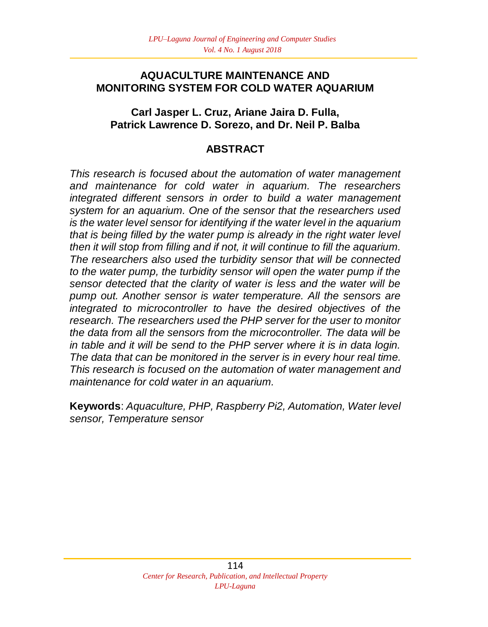### **AQUACULTURE MAINTENANCE AND MONITORING SYSTEM FOR COLD WATER AQUARIUM**

### **Carl Jasper L. Cruz, Ariane Jaira D. Fulla, Patrick Lawrence D. Sorezo, and Dr. Neil P. Balba**

## **ABSTRACT**

*This research is focused about the automation of water management and maintenance for cold water in aquarium. The researchers integrated different sensors in order to build a water management system for an aquarium. One of the sensor that the researchers used is the water level sensor for identifying if the water level in the aquarium that is being filled by the water pump is already in the right water level then it will stop from filling and if not, it will continue to fill the aquarium. The researchers also used the turbidity sensor that will be connected to the water pump, the turbidity sensor will open the water pump if the sensor detected that the clarity of water is less and the water will be pump out. Another sensor is water temperature. All the sensors are integrated to microcontroller to have the desired objectives of the research. The researchers used the PHP server for the user to monitor the data from all the sensors from the microcontroller. The data will be in table and it will be send to the PHP server where it is in data login. The data that can be monitored in the server is in every hour real time. This research is focused on the automation of water management and maintenance for cold water in an aquarium.* 

**Keywords**: *Aquaculture, PHP, Raspberry Pi2, Automation, Water level sensor, Temperature sensor*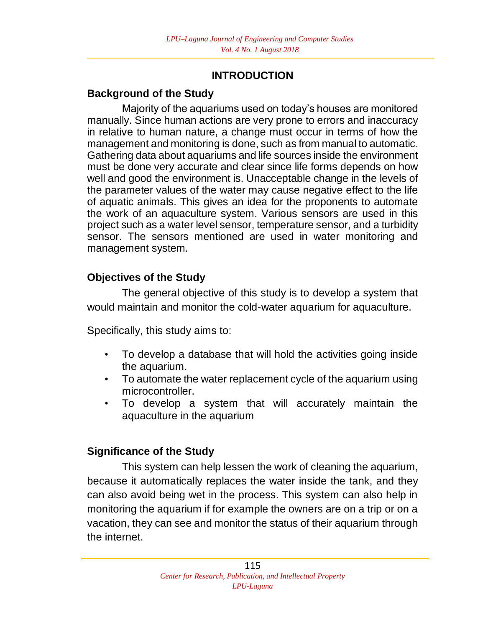## **INTRODUCTION**

## **Background of the Study**

 Majority of the aquariums used on today's houses are monitored manually. Since human actions are very prone to errors and inaccuracy in relative to human nature, a change must occur in terms of how the management and monitoring is done, such as from manual to automatic. Gathering data about aquariums and life sources inside the environment must be done very accurate and clear since life forms depends on how well and good the environment is. Unacceptable change in the levels of the parameter values of the water may cause negative effect to the life of aquatic animals. This gives an idea for the proponents to automate the work of an aquaculture system. Various sensors are used in this project such as a water level sensor, temperature sensor, and a turbidity sensor. The sensors mentioned are used in water monitoring and management system.

## **Objectives of the Study**

The general objective of this study is to develop a system that would maintain and monitor the cold-water aquarium for aquaculture.

Specifically, this study aims to:

- To develop a database that will hold the activities going inside the aquarium.
- To automate the water replacement cycle of the aquarium using microcontroller.
- To develop a system that will accurately maintain the aquaculture in the aquarium

## **Significance of the Study**

This system can help lessen the work of cleaning the aquarium, because it automatically replaces the water inside the tank, and they can also avoid being wet in the process. This system can also help in monitoring the aquarium if for example the owners are on a trip or on a vacation, they can see and monitor the status of their aquarium through the internet.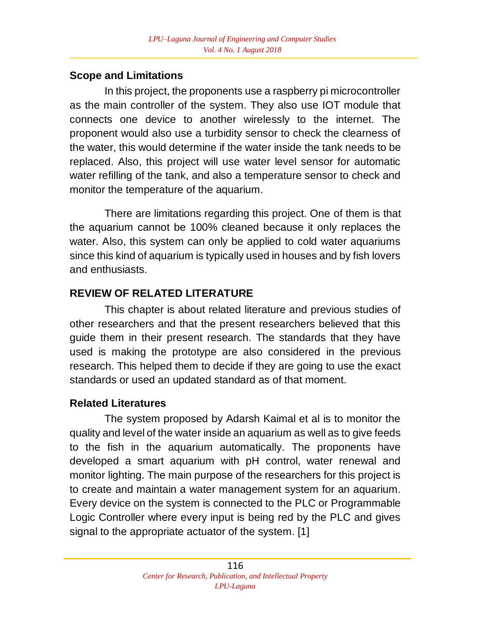## **Scope and Limitations**

In this project, the proponents use a raspberry pi microcontroller as the main controller of the system. They also use IOT module that connects one device to another wirelessly to the internet. The proponent would also use a turbidity sensor to check the clearness of the water, this would determine if the water inside the tank needs to be replaced. Also, this project will use water level sensor for automatic water refilling of the tank, and also a temperature sensor to check and monitor the temperature of the aquarium.

There are limitations regarding this project. One of them is that the aquarium cannot be 100% cleaned because it only replaces the water. Also, this system can only be applied to cold water aquariums since this kind of aquarium is typically used in houses and by fish lovers and enthusiasts.

# **REVIEW OF RELATED LITERATURE**

This chapter is about related literature and previous studies of other researchers and that the present researchers believed that this guide them in their present research. The standards that they have used is making the prototype are also considered in the previous research. This helped them to decide if they are going to use the exact standards or used an updated standard as of that moment.

# **Related Literatures**

The system proposed by Adarsh Kaimal et al is to monitor the quality and level of the water inside an aquarium as well as to give feeds to the fish in the aquarium automatically. The proponents have developed a smart aquarium with pH control, water renewal and monitor lighting. The main purpose of the researchers for this project is to create and maintain a water management system for an aquarium. Every device on the system is connected to the PLC or Programmable Logic Controller where every input is being red by the PLC and gives signal to the appropriate actuator of the system. [1]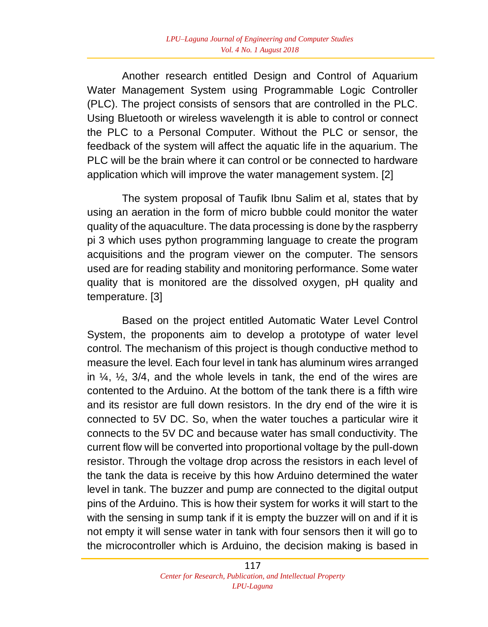Another research entitled Design and Control of Aquarium Water Management System using Programmable Logic Controller (PLC). The project consists of sensors that are controlled in the PLC. Using Bluetooth or wireless wavelength it is able to control or connect the PLC to a Personal Computer. Without the PLC or sensor, the feedback of the system will affect the aquatic life in the aquarium. The PLC will be the brain where it can control or be connected to hardware application which will improve the water management system. [2]

 The system proposal of Taufik Ibnu Salim et al, states that by using an aeration in the form of micro bubble could monitor the water quality of the aquaculture. The data processing is done by the raspberry pi 3 which uses python programming language to create the program acquisitions and the program viewer on the computer. The sensors used are for reading stability and monitoring performance. Some water quality that is monitored are the dissolved oxygen, pH quality and temperature. [3]

Based on the project entitled Automatic Water Level Control System, the proponents aim to develop a prototype of water level control. The mechanism of this project is though conductive method to measure the level. Each four level in tank has aluminum wires arranged in  $\frac{1}{4}$ ,  $\frac{1}{2}$ ,  $\frac{3}{4}$ , and the whole levels in tank, the end of the wires are contented to the Arduino. At the bottom of the tank there is a fifth wire and its resistor are full down resistors. In the dry end of the wire it is connected to 5V DC. So, when the water touches a particular wire it connects to the 5V DC and because water has small conductivity. The current flow will be converted into proportional voltage by the pull-down resistor. Through the voltage drop across the resistors in each level of the tank the data is receive by this how Arduino determined the water level in tank. The buzzer and pump are connected to the digital output pins of the Arduino. This is how their system for works it will start to the with the sensing in sump tank if it is empty the buzzer will on and if it is not empty it will sense water in tank with four sensors then it will go to the microcontroller which is Arduino, the decision making is based in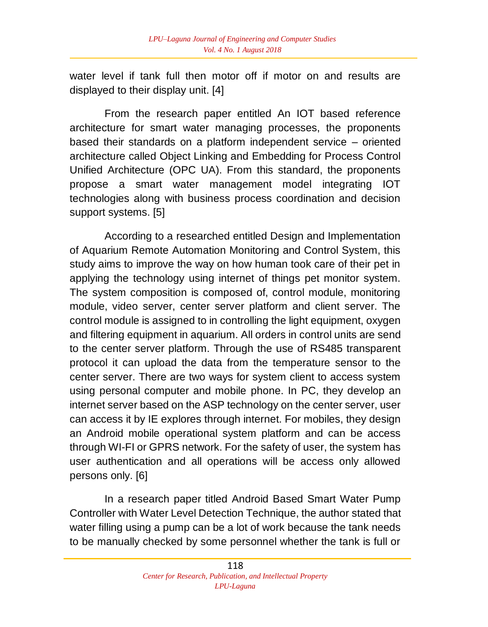water level if tank full then motor off if motor on and results are displayed to their display unit. [4]

From the research paper entitled An IOT based reference architecture for smart water managing processes, the proponents based their standards on a platform independent service – oriented architecture called Object Linking and Embedding for Process Control Unified Architecture (OPC UA). From this standard, the proponents propose a smart water management model integrating IOT technologies along with business process coordination and decision support systems. [5]

According to a researched entitled Design and Implementation of Aquarium Remote Automation Monitoring and Control System, this study aims to improve the way on how human took care of their pet in applying the technology using internet of things pet monitor system. The system composition is composed of, control module, monitoring module, video server, center server platform and client server. The control module is assigned to in controlling the light equipment, oxygen and filtering equipment in aquarium. All orders in control units are send to the center server platform. Through the use of RS485 transparent protocol it can upload the data from the temperature sensor to the center server. There are two ways for system client to access system using personal computer and mobile phone. In PC, they develop an internet server based on the ASP technology on the center server, user can access it by IE explores through internet. For mobiles, they design an Android mobile operational system platform and can be access through WI-FI or GPRS network. For the safety of user, the system has user authentication and all operations will be access only allowed persons only. [6]

In a research paper titled Android Based Smart Water Pump Controller with Water Level Detection Technique, the author stated that water filling using a pump can be a lot of work because the tank needs to be manually checked by some personnel whether the tank is full or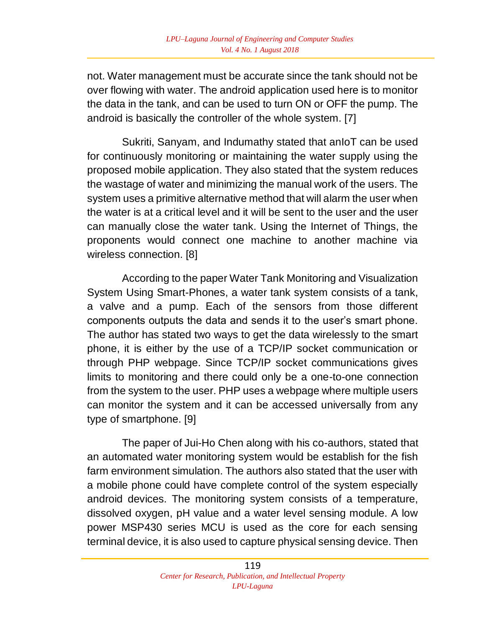not. Water management must be accurate since the tank should not be over flowing with water. The android application used here is to monitor the data in the tank, and can be used to turn ON or OFF the pump. The android is basically the controller of the whole system. [7]

Sukriti, Sanyam, and Indumathy stated that anIoT can be used for continuously monitoring or maintaining the water supply using the proposed mobile application. They also stated that the system reduces the wastage of water and minimizing the manual work of the users. The system uses a primitive alternative method that will alarm the user when the water is at a critical level and it will be sent to the user and the user can manually close the water tank. Using the Internet of Things, the proponents would connect one machine to another machine via wireless connection. [8]

According to the paper Water Tank Monitoring and Visualization System Using Smart-Phones, a water tank system consists of a tank, a valve and a pump. Each of the sensors from those different components outputs the data and sends it to the user's smart phone. The author has stated two ways to get the data wirelessly to the smart phone, it is either by the use of a TCP/IP socket communication or through PHP webpage. Since TCP/IP socket communications gives limits to monitoring and there could only be a one-to-one connection from the system to the user. PHP uses a webpage where multiple users can monitor the system and it can be accessed universally from any type of smartphone. [9]

The paper of Jui-Ho Chen along with his co-authors, stated that an automated water monitoring system would be establish for the fish farm environment simulation. The authors also stated that the user with a mobile phone could have complete control of the system especially android devices. The monitoring system consists of a temperature, dissolved oxygen, pH value and a water level sensing module. A low power MSP430 series MCU is used as the core for each sensing terminal device, it is also used to capture physical sensing device. Then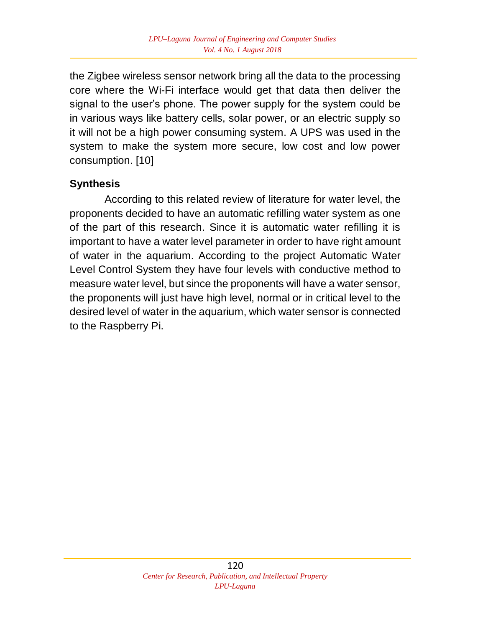the Zigbee wireless sensor network bring all the data to the processing core where the Wi-Fi interface would get that data then deliver the signal to the user's phone. The power supply for the system could be in various ways like battery cells, solar power, or an electric supply so it will not be a high power consuming system. A UPS was used in the system to make the system more secure, low cost and low power consumption. [10]

## **Synthesis**

According to this related review of literature for water level, the proponents decided to have an automatic refilling water system as one of the part of this research. Since it is automatic water refilling it is important to have a water level parameter in order to have right amount of water in the aquarium. According to the project Automatic Water Level Control System they have four levels with conductive method to measure water level, but since the proponents will have a water sensor, the proponents will just have high level, normal or in critical level to the desired level of water in the aquarium, which water sensor is connected to the Raspberry Pi.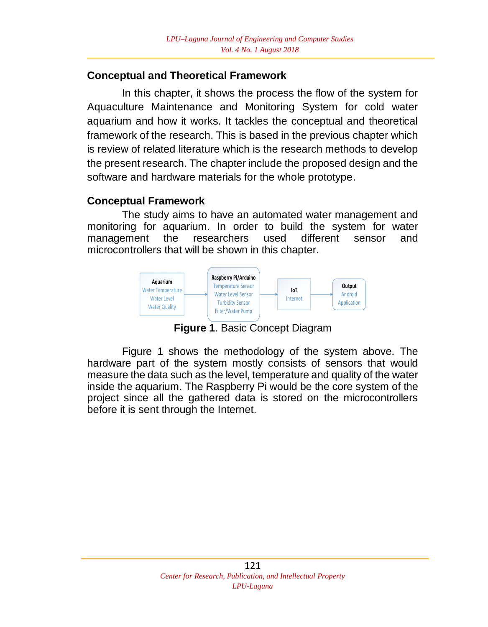### **Conceptual and Theoretical Framework**

In this chapter, it shows the process the flow of the system for Aquaculture Maintenance and Monitoring System for cold water aquarium and how it works. It tackles the conceptual and theoretical framework of the research. This is based in the previous chapter which is review of related literature which is the research methods to develop the present research. The chapter include the proposed design and the software and hardware materials for the whole prototype.

#### **Conceptual Framework**

The study aims to have an automated water management and monitoring for aquarium. In order to build the system for water management the researchers used different sensor and microcontrollers that will be shown in this chapter.



**Figure 1**. Basic Concept Diagram

Figure 1 shows the methodology of the system above. The hardware part of the system mostly consists of sensors that would measure the data such as the level, temperature and quality of the water inside the aquarium. The Raspberry Pi would be the core system of the project since all the gathered data is stored on the microcontrollers before it is sent through the Internet.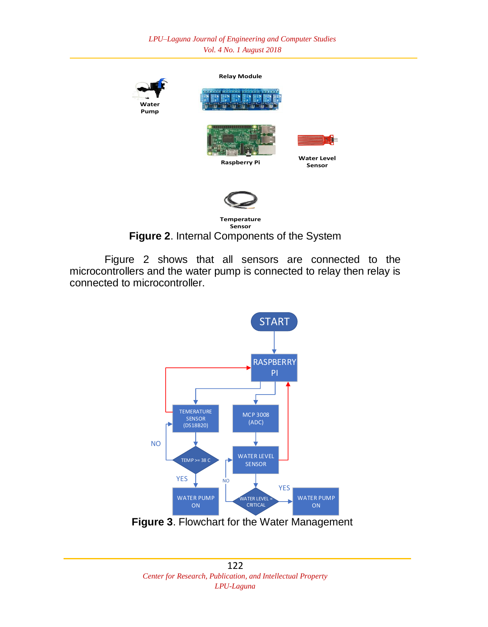*LPU–Laguna Journal of Engineering and Computer Studies Vol. 4 No. 1 August 2018*



**Figure 2**. Internal Components of the System

Figure 2 shows that all sensors are connected to the microcontrollers and the water pump is connected to relay then relay is connected to microcontroller.



**Figure 3**. Flowchart for the Water Management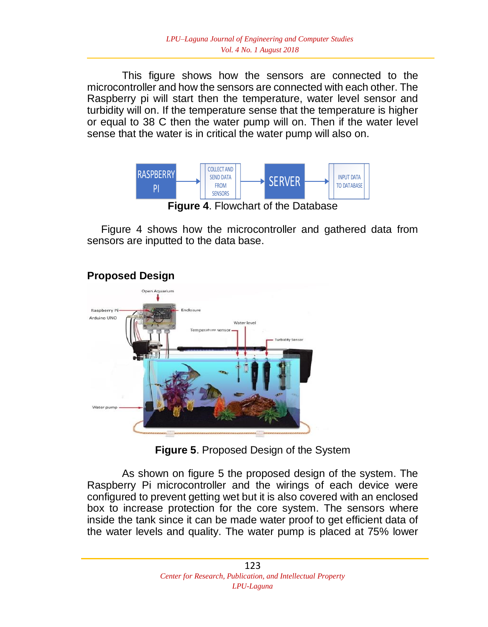This figure shows how the sensors are connected to the microcontroller and how the sensors are connected with each other. The Raspberry pi will start then the temperature, water level sensor and turbidity will on. If the temperature sense that the temperature is higher or equal to 38 C then the water pump will on. Then if the water level sense that the water is in critical the water pump will also on.



Figure 4 shows how the microcontroller and gathered data from sensors are inputted to the data base.

## **Proposed Design**



**Figure 5**. Proposed Design of the System

As shown on figure 5 the proposed design of the system. The Raspberry Pi microcontroller and the wirings of each device were configured to prevent getting wet but it is also covered with an enclosed box to increase protection for the core system. The sensors where inside the tank since it can be made water proof to get efficient data of the water levels and quality. The water pump is placed at 75% lower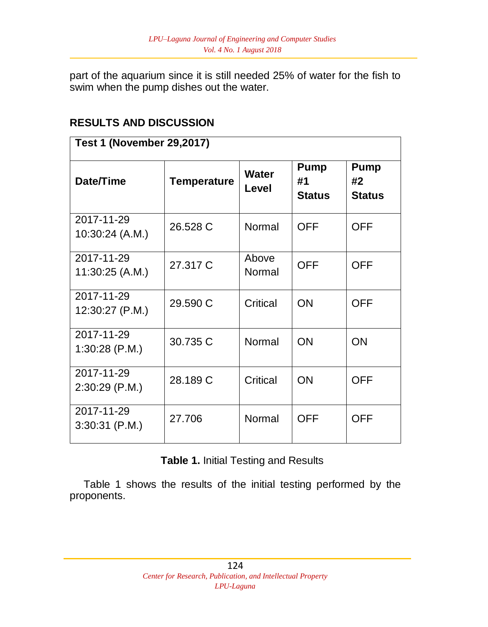part of the aquarium since it is still needed 25% of water for the fish to swim when the pump dishes out the water.

## **RESULTS AND DISCUSSION**

| <b>Test 1 (November 29,2017)</b> |             |                       |                             |                                    |  |  |
|----------------------------------|-------------|-----------------------|-----------------------------|------------------------------------|--|--|
| Date/Time                        | Temperature | <b>Water</b><br>Level | Pump<br>#1<br><b>Status</b> | <b>Pump</b><br>#2<br><b>Status</b> |  |  |
| 2017-11-29<br>10:30:24 (A.M.)    | 26.528 C    | Normal                | <b>OFF</b>                  | <b>OFF</b>                         |  |  |
| 2017-11-29<br>11:30:25 (A.M.)    | 27.317 C    | Above<br>Normal       | <b>OFF</b>                  | <b>OFF</b>                         |  |  |
| 2017-11-29<br>12:30:27 (P.M.)    | 29.590 C    | Critical              | ON                          | <b>OFF</b>                         |  |  |
| 2017-11-29<br>$1:30:28$ (P.M.)   | 30.735 C    | Normal                | ON                          | ON                                 |  |  |
| 2017-11-29<br>$2:30:29$ (P.M.)   | 28.189 C    | Critical              | <b>ON</b>                   | <b>OFF</b>                         |  |  |
| 2017-11-29<br>$3:30:31$ (P.M.)   | 27.706      | Normal                | OFF                         | <b>OFF</b>                         |  |  |

**Table 1.** Initial Testing and Results

Table 1 shows the results of the initial testing performed by the proponents.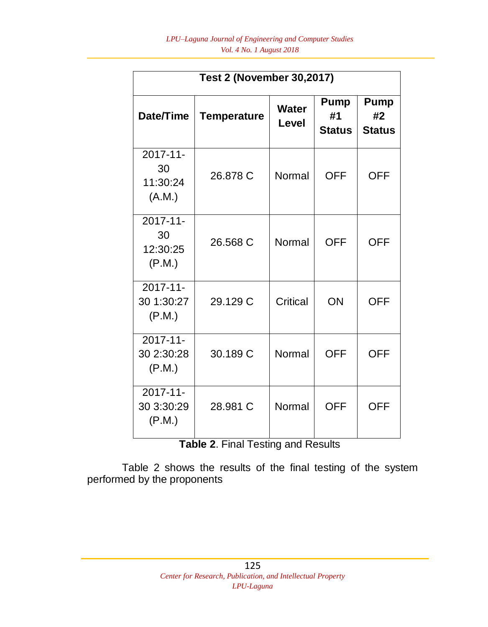| <b>Test 2 (November 30,2017)</b>        |                    |                |                                    |                                    |  |  |  |
|-----------------------------------------|--------------------|----------------|------------------------------------|------------------------------------|--|--|--|
| Date/Time                               | <b>Temperature</b> | Water<br>Level | <b>Pump</b><br>#1<br><b>Status</b> | <b>Pump</b><br>#2<br><b>Status</b> |  |  |  |
| 2017-11-<br>30<br>11:30:24<br>(A.M.)    | 26.878 C           | Normal         | <b>OFF</b>                         | <b>OFF</b>                         |  |  |  |
| $2017 - 11$<br>30<br>12:30:25<br>(P.M.) | 26.568 C           | Normal         | <b>OFF</b>                         | <b>OFF</b>                         |  |  |  |
| 2017-11-<br>30 1:30:27<br>(P.M.)        | 29.129 C           | Critical       | ON                                 | <b>OFF</b>                         |  |  |  |
| $2017 - 11$<br>30 2:30:28<br>(P.M.)     | 30.189 C           | Normal         | <b>OFF</b>                         | <b>OFF</b>                         |  |  |  |
| $2017 - 11$<br>30 3:30:29<br>(P.M.)     | 28.981 C           | Normal         | <b>OFF</b>                         | OFF                                |  |  |  |

**Table 2**. Final Testing and Results

Table 2 shows the results of the final testing of the system performed by the proponents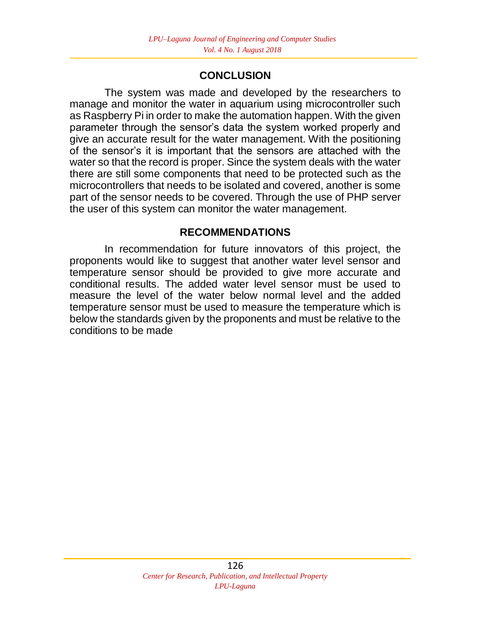### **CONCLUSION**

The system was made and developed by the researchers to manage and monitor the water in aquarium using microcontroller such as Raspberry Pi in order to make the automation happen. With the given parameter through the sensor's data the system worked properly and give an accurate result for the water management. With the positioning of the sensor's it is important that the sensors are attached with the water so that the record is proper. Since the system deals with the water there are still some components that need to be protected such as the microcontrollers that needs to be isolated and covered, another is some part of the sensor needs to be covered. Through the use of PHP server the user of this system can monitor the water management.

### **RECOMMENDATIONS**

In recommendation for future innovators of this project, the proponents would like to suggest that another water level sensor and temperature sensor should be provided to give more accurate and conditional results. The added water level sensor must be used to measure the level of the water below normal level and the added temperature sensor must be used to measure the temperature which is below the standards given by the proponents and must be relative to the conditions to be made